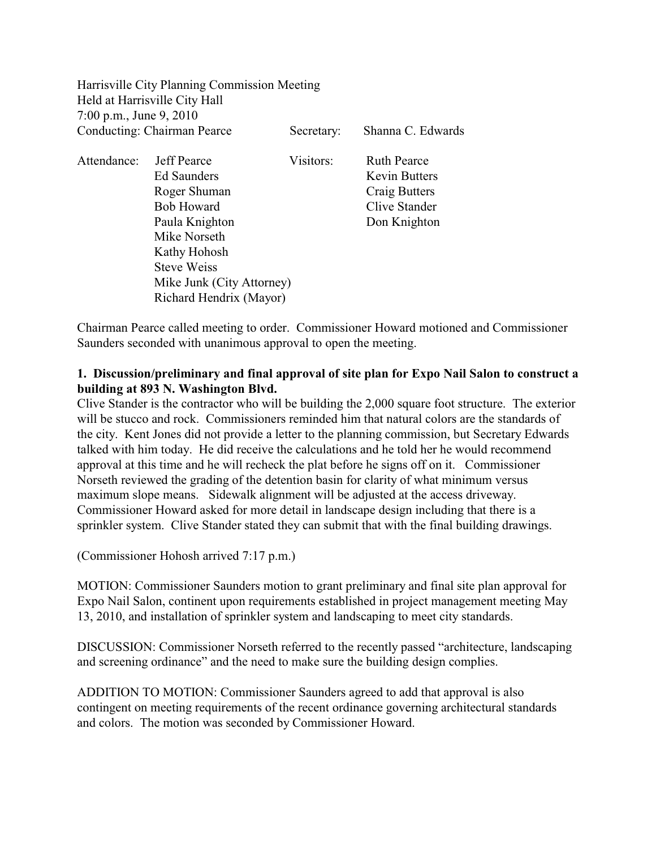|                                    | Harrisville City Planning Commission Meeting |            |                      |
|------------------------------------|----------------------------------------------|------------|----------------------|
|                                    | Held at Harrisville City Hall                |            |                      |
| 7:00 p.m., June 9, 2010            |                                              |            |                      |
| <b>Conducting: Chairman Pearce</b> |                                              | Secretary: | Shanna C. Edwards    |
| Attendance:                        | <b>Jeff Pearce</b>                           | Visitors:  | <b>Ruth Pearce</b>   |
|                                    | Ed Saunders                                  |            | <b>Kevin Butters</b> |
|                                    | Roger Shuman                                 |            | Craig Butters        |
|                                    | <b>Bob Howard</b>                            |            | Clive Stander        |
|                                    | Paula Knighton                               |            | Don Knighton         |
|                                    | Mike Norseth                                 |            |                      |
|                                    | Kathy Hohosh                                 |            |                      |
|                                    | <b>Steve Weiss</b>                           |            |                      |
|                                    | Mike Junk (City Attorney)                    |            |                      |
|                                    | Richard Hendrix (Mayor)                      |            |                      |

Chairman Pearce called meeting to order. Commissioner Howard motioned and Commissioner Saunders seconded with unanimous approval to open the meeting.

# **1. Discussion/preliminary and final approval of site plan for Expo Nail Salon to construct a building at 893 N. Washington Blvd.**

Clive Stander is the contractor who will be building the 2,000 square foot structure. The exterior will be stucco and rock. Commissioners reminded him that natural colors are the standards of the city. Kent Jones did not provide a letter to the planning commission, but Secretary Edwards talked with him today. He did receive the calculations and he told her he would recommend approval at this time and he will recheck the plat before he signs off on it. Commissioner Norseth reviewed the grading of the detention basin for clarity of what minimum versus maximum slope means. Sidewalk alignment will be adjusted at the access driveway. Commissioner Howard asked for more detail in landscape design including that there is a sprinkler system. Clive Stander stated they can submit that with the final building drawings.

(Commissioner Hohosh arrived 7:17 p.m.)

MOTION: Commissioner Saunders motion to grant preliminary and final site plan approval for Expo Nail Salon, continent upon requirements established in project management meeting May 13, 2010, and installation of sprinkler system and landscaping to meet city standards.

DISCUSSION: Commissioner Norseth referred to the recently passed "architecture, landscaping and screening ordinance" and the need to make sure the building design complies.

ADDITION TO MOTION: Commissioner Saunders agreed to add that approval is also contingent on meeting requirements of the recent ordinance governing architectural standards and colors. The motion was seconded by Commissioner Howard.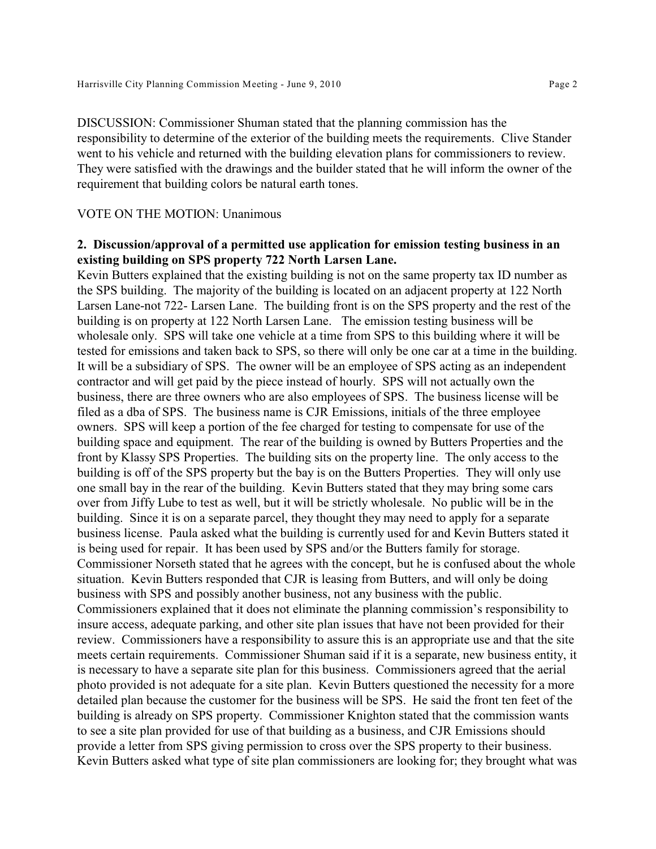DISCUSSION: Commissioner Shuman stated that the planning commission has the responsibility to determine of the exterior of the building meets the requirements. Clive Stander went to his vehicle and returned with the building elevation plans for commissioners to review. They were satisfied with the drawings and the builder stated that he will inform the owner of the requirement that building colors be natural earth tones.

## VOTE ON THE MOTION: Unanimous

## **2. Discussion/approval of a permitted use application for emission testing business in an existing building on SPS property 722 North Larsen Lane.**

Kevin Butters explained that the existing building is not on the same property tax ID number as the SPS building. The majority of the building is located on an adjacent property at 122 North Larsen Lane-not 722- Larsen Lane. The building front is on the SPS property and the rest of the building is on property at 122 North Larsen Lane. The emission testing business will be wholesale only. SPS will take one vehicle at a time from SPS to this building where it will be tested for emissions and taken back to SPS, so there will only be one car at a time in the building. It will be a subsidiary of SPS. The owner will be an employee of SPS acting as an independent contractor and will get paid by the piece instead of hourly. SPS will not actually own the business, there are three owners who are also employees of SPS. The business license will be filed as a dba of SPS. The business name is CJR Emissions, initials of the three employee owners. SPS will keep a portion of the fee charged for testing to compensate for use of the building space and equipment. The rear of the building is owned by Butters Properties and the front by Klassy SPS Properties. The building sits on the property line. The only access to the building is off of the SPS property but the bay is on the Butters Properties. They will only use one small bay in the rear of the building. Kevin Butters stated that they may bring some cars over from Jiffy Lube to test as well, but it will be strictly wholesale. No public will be in the building. Since it is on a separate parcel, they thought they may need to apply for a separate business license. Paula asked what the building is currently used for and Kevin Butters stated it is being used for repair. It has been used by SPS and/or the Butters family for storage. Commissioner Norseth stated that he agrees with the concept, but he is confused about the whole situation. Kevin Butters responded that CJR is leasing from Butters, and will only be doing business with SPS and possibly another business, not any business with the public. Commissioners explained that it does not eliminate the planning commission's responsibility to insure access, adequate parking, and other site plan issues that have not been provided for their review. Commissioners have a responsibility to assure this is an appropriate use and that the site meets certain requirements. Commissioner Shuman said if it is a separate, new business entity, it is necessary to have a separate site plan for this business. Commissioners agreed that the aerial photo provided is not adequate for a site plan. Kevin Butters questioned the necessity for a more detailed plan because the customer for the business will be SPS. He said the front ten feet of the building is already on SPS property. Commissioner Knighton stated that the commission wants to see a site plan provided for use of that building as a business, and CJR Emissions should provide a letter from SPS giving permission to cross over the SPS property to their business. Kevin Butters asked what type of site plan commissioners are looking for; they brought what was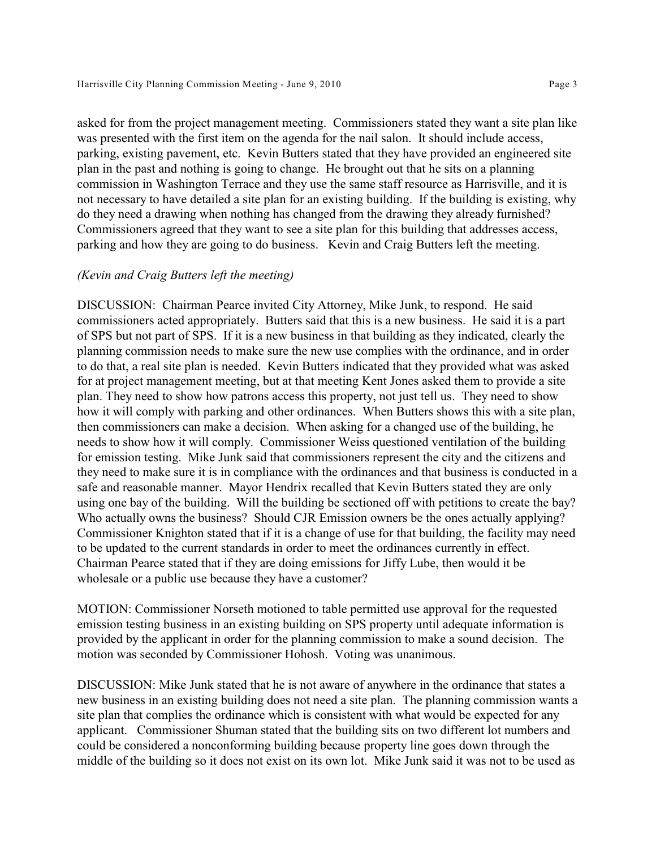asked for from the project management meeting. Commissioners stated they want a site plan like was presented with the first item on the agenda for the nail salon. It should include access, parking, existing pavement, etc. Kevin Butters stated that they have provided an engineered site plan in the past and nothing is going to change. He brought out that he sits on a planning commission in Washington Terrace and they use the same staff resource as Harrisville, and it is not necessary to have detailed a site plan for an existing building. If the building is existing, why do they need a drawing when nothing has changed from the drawing they already furnished? Commissioners agreed that they want to see a site plan for this building that addresses access, parking and how they are going to do business. Kevin and Craig Butters left the meeting.

#### *(Kevin and Craig Butters left the meeting)*

DISCUSSION: Chairman Pearce invited City Attorney, Mike Junk, to respond. He said commissioners acted appropriately. Butters said that this is a new business. He said it is a part of SPS but not part of SPS. If it is a new business in that building as they indicated, clearly the planning commission needs to make sure the new use complies with the ordinance, and in order to do that, a real site plan is needed. Kevin Butters indicated that they provided what was asked for at project management meeting, but at that meeting Kent Jones asked them to provide a site plan. They need to show how patrons access this property, not just tell us. They need to show how it will comply with parking and other ordinances. When Butters shows this with a site plan, then commissioners can make a decision. When asking for a changed use of the building, he needs to show how it will comply. Commissioner Weiss questioned ventilation of the building for emission testing. Mike Junk said that commissioners represent the city and the citizens and they need to make sure it is in compliance with the ordinances and that business is conducted in a safe and reasonable manner. Mayor Hendrix recalled that Kevin Butters stated they are only using one bay of the building. Will the building be sectioned off with petitions to create the bay? Who actually owns the business? Should CJR Emission owners be the ones actually applying? Commissioner Knighton stated that if it is a change of use for that building, the facility may need to be updated to the current standards in order to meet the ordinances currently in effect. Chairman Pearce stated that if they are doing emissions for Jiffy Lube, then would it be wholesale or a public use because they have a customer?

MOTION: Commissioner Norseth motioned to table permitted use approval for the requested emission testing business in an existing building on SPS property until adequate information is provided by the applicant in order for the planning commission to make a sound decision. The motion was seconded by Commissioner Hohosh. Voting was unanimous.

DISCUSSION: Mike Junk stated that he is not aware of anywhere in the ordinance that states a new business in an existing building does not need a site plan. The planning commission wants a site plan that complies the ordinance which is consistent with what would be expected for any applicant. Commissioner Shuman stated that the building sits on two different lot numbers and could be considered a nonconforming building because property line goes down through the middle of the building so it does not exist on its own lot. Mike Junk said it was not to be used as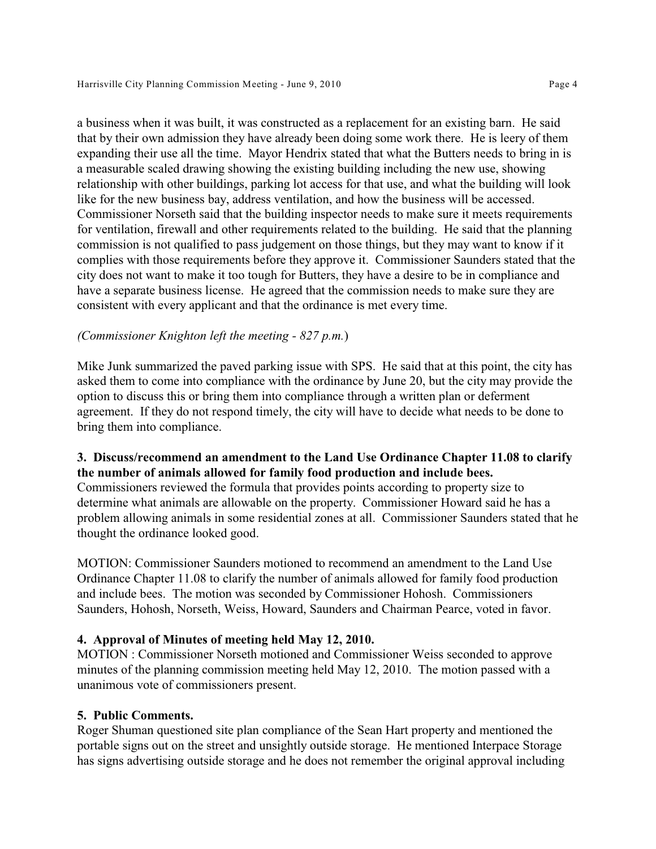a business when it was built, it was constructed as a replacement for an existing barn. He said that by their own admission they have already been doing some work there. He is leery of them expanding their use all the time. Mayor Hendrix stated that what the Butters needs to bring in is a measurable scaled drawing showing the existing building including the new use, showing relationship with other buildings, parking lot access for that use, and what the building will look like for the new business bay, address ventilation, and how the business will be accessed. Commissioner Norseth said that the building inspector needs to make sure it meets requirements for ventilation, firewall and other requirements related to the building. He said that the planning commission is not qualified to pass judgement on those things, but they may want to know if it complies with those requirements before they approve it. Commissioner Saunders stated that the city does not want to make it too tough for Butters, they have a desire to be in compliance and have a separate business license. He agreed that the commission needs to make sure they are consistent with every applicant and that the ordinance is met every time.

## *(Commissioner Knighton left the meeting - 827 p.m.*)

Mike Junk summarized the paved parking issue with SPS. He said that at this point, the city has asked them to come into compliance with the ordinance by June 20, but the city may provide the option to discuss this or bring them into compliance through a written plan or deferment agreement. If they do not respond timely, the city will have to decide what needs to be done to bring them into compliance.

## **3. Discuss/recommend an amendment to the Land Use Ordinance Chapter 11.08 to clarify the number of animals allowed for family food production and include bees.**

Commissioners reviewed the formula that provides points according to property size to determine what animals are allowable on the property. Commissioner Howard said he has a problem allowing animals in some residential zones at all. Commissioner Saunders stated that he thought the ordinance looked good.

MOTION: Commissioner Saunders motioned to recommend an amendment to the Land Use Ordinance Chapter 11.08 to clarify the number of animals allowed for family food production and include bees. The motion was seconded by Commissioner Hohosh. Commissioners Saunders, Hohosh, Norseth, Weiss, Howard, Saunders and Chairman Pearce, voted in favor.

## **4. Approval of Minutes of meeting held May 12, 2010.**

MOTION : Commissioner Norseth motioned and Commissioner Weiss seconded to approve minutes of the planning commission meeting held May 12, 2010. The motion passed with a unanimous vote of commissioners present.

## **5. Public Comments.**

Roger Shuman questioned site plan compliance of the Sean Hart property and mentioned the portable signs out on the street and unsightly outside storage. He mentioned Interpace Storage has signs advertising outside storage and he does not remember the original approval including